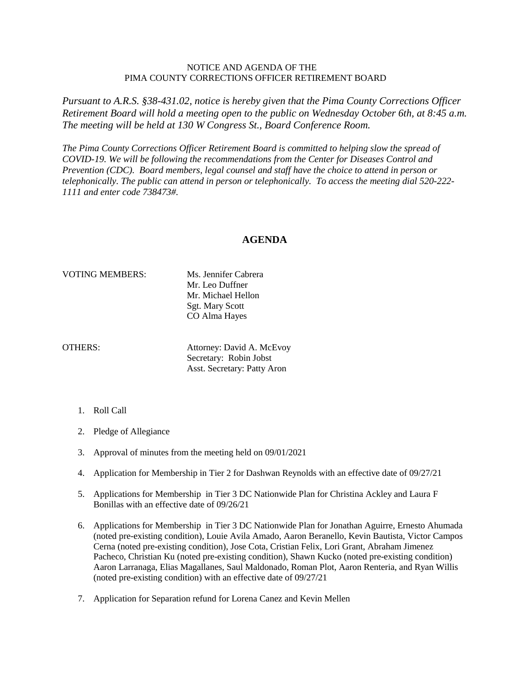## NOTICE AND AGENDA OF THE PIMA COUNTY CORRECTIONS OFFICER RETIREMENT BOARD

*Pursuant to A.R.S. §38-431.02, notice is hereby given that the Pima County Corrections Officer Retirement Board will hold a meeting open to the public on Wednesday October 6th, at 8:45 a.m. The meeting will be held at 130 W Congress St., Board Conference Room.*

*The Pima County Corrections Officer Retirement Board is committed to helping slow the spread of COVID-19. We will be following the recommendations from the Center for Diseases Control and Prevention (CDC). Board members, legal counsel and staff have the choice to attend in person or telephonically. The public can attend in person or telephonically. To access the meeting dial 520-222- 1111 and enter code 738473#.*

## **AGENDA**

## VOTING MEMBERS: Ms. Jennifer Cabrera

Mr. Leo Duffner Mr. Michael Hellon Sgt. Mary Scott CO Alma Hayes

OTHERS: Attorney: David A. McEvoy Secretary: Robin Jobst Asst. Secretary: Patty Aron

- 1. Roll Call
- 2. Pledge of Allegiance
- 3. Approval of minutes from the meeting held on 09/01/2021
- 4. Application for Membership in Tier 2 for Dashwan Reynolds with an effective date of 09/27/21
- 5. Applications for Membership in Tier 3 DC Nationwide Plan for Christina Ackley and Laura F Bonillas with an effective date of 09/26/21
- 6. Applications for Membership in Tier 3 DC Nationwide Plan for Jonathan Aguirre, Ernesto Ahumada (noted pre-existing condition), Louie Avila Amado, Aaron Beranello, Kevin Bautista, Victor Campos Cerna (noted pre-existing condition), Jose Cota, Cristian Felix, Lori Grant, Abraham Jimenez Pacheco, Christian Ku (noted pre-existing condition), Shawn Kucko (noted pre-existing condition) Aaron Larranaga, Elias Magallanes, Saul Maldonado, Roman Plot, Aaron Renteria, and Ryan Willis (noted pre-existing condition) with an effective date of 09/27/21
- 7. Application for Separation refund for Lorena Canez and Kevin Mellen